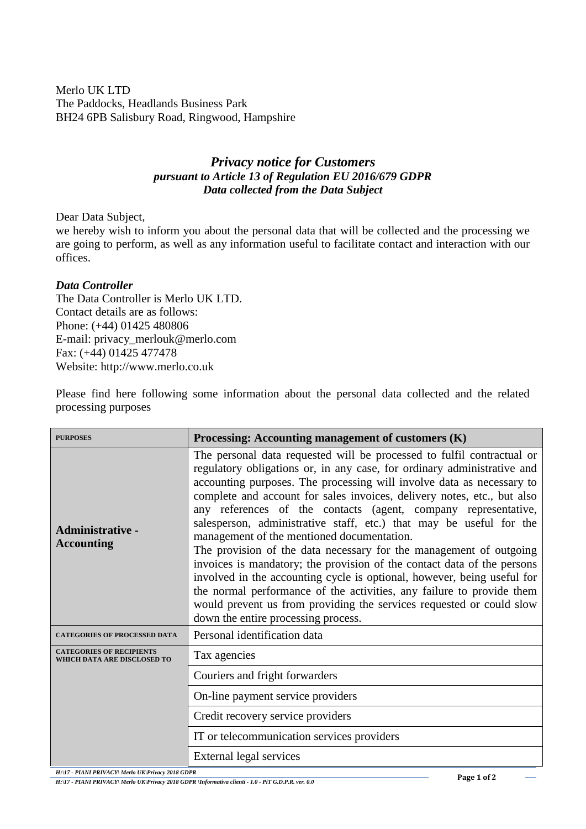Merlo UK LTD The Paddocks, Headlands Business Park BH24 6PB Salisbury Road, Ringwood, Hampshire

## *Privacy notice for Customers pursuant to Article 13 of Regulation EU 2016/679 GDPR Data collected from the Data Subject*

Dear Data Subject,

we hereby wish to inform you about the personal data that will be collected and the processing we are going to perform, as well as any information useful to facilitate contact and interaction with our offices.

## *Data Controller*

The Data Controller is Merlo UK LTD. Contact details are as follows: Phone: (+44) 01425 480806 E-mail: privacy\_merlouk@merlo.com Fax: (+44) 01425 477478 Website: http://www.merlo.co.uk

Please find here following some information about the personal data collected and the related processing purposes

| <b>PURPOSES</b>                                                | Processing: Accounting management of customers (K)                                                                                                                                                                                                                                                                                                                                                                                                                                                                                                                                                                                                                                                                                                                                                                                                                                                               |
|----------------------------------------------------------------|------------------------------------------------------------------------------------------------------------------------------------------------------------------------------------------------------------------------------------------------------------------------------------------------------------------------------------------------------------------------------------------------------------------------------------------------------------------------------------------------------------------------------------------------------------------------------------------------------------------------------------------------------------------------------------------------------------------------------------------------------------------------------------------------------------------------------------------------------------------------------------------------------------------|
| <b>Administrative -</b><br><b>Accounting</b>                   | The personal data requested will be processed to fulfil contractual or<br>regulatory obligations or, in any case, for ordinary administrative and<br>accounting purposes. The processing will involve data as necessary to<br>complete and account for sales invoices, delivery notes, etc., but also<br>any references of the contacts (agent, company representative,<br>salesperson, administrative staff, etc.) that may be useful for the<br>management of the mentioned documentation.<br>The provision of the data necessary for the management of outgoing<br>invoices is mandatory; the provision of the contact data of the persons<br>involved in the accounting cycle is optional, however, being useful for<br>the normal performance of the activities, any failure to provide them<br>would prevent us from providing the services requested or could slow<br>down the entire processing process. |
| <b>CATEGORIES OF PROCESSED DATA</b>                            | Personal identification data                                                                                                                                                                                                                                                                                                                                                                                                                                                                                                                                                                                                                                                                                                                                                                                                                                                                                     |
| <b>CATEGORIES OF RECIPIENTS</b><br>WHICH DATA ARE DISCLOSED TO | Tax agencies                                                                                                                                                                                                                                                                                                                                                                                                                                                                                                                                                                                                                                                                                                                                                                                                                                                                                                     |
|                                                                | Couriers and fright forwarders                                                                                                                                                                                                                                                                                                                                                                                                                                                                                                                                                                                                                                                                                                                                                                                                                                                                                   |
|                                                                | On-line payment service providers                                                                                                                                                                                                                                                                                                                                                                                                                                                                                                                                                                                                                                                                                                                                                                                                                                                                                |
|                                                                | Credit recovery service providers                                                                                                                                                                                                                                                                                                                                                                                                                                                                                                                                                                                                                                                                                                                                                                                                                                                                                |
|                                                                | IT or telecommunication services providers                                                                                                                                                                                                                                                                                                                                                                                                                                                                                                                                                                                                                                                                                                                                                                                                                                                                       |
|                                                                | External legal services                                                                                                                                                                                                                                                                                                                                                                                                                                                                                                                                                                                                                                                                                                                                                                                                                                                                                          |

*H:\17 - PIANI PRIVACY\ Merlo UK\Privacy 2018 GDPR*

*H:\17 - PIANI PRIVACY\ Merlo UK\Privacy 2018 GDPR \Informativa clienti - 1.0 - PiT G.D.P.R. ver. 0.0*